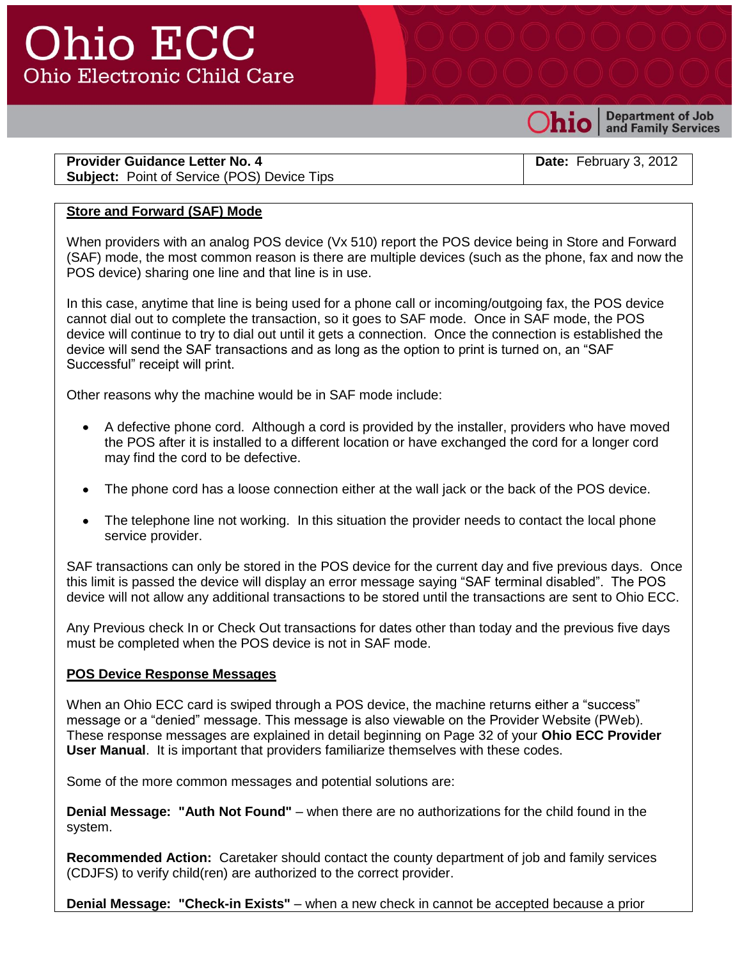## Ohio ECC **Ohio Electronic Child Care**



**Department of Job** and Family Services

**Provider Guidance Letter No. 4 Subject:** Point of Service (POS) Device Tips

**Date:** February 3, 2012

### **Store and Forward (SAF) Mode**

When providers with an analog POS device (Vx 510) report the POS device being in Store and Forward (SAF) mode, the most common reason is there are multiple devices (such as the phone, fax and now the POS device) sharing one line and that line is in use.

In this case, anytime that line is being used for a phone call or incoming/outgoing fax, the POS device cannot dial out to complete the transaction, so it goes to SAF mode. Once in SAF mode, the POS device will continue to try to dial out until it gets a connection. Once the connection is established the device will send the SAF transactions and as long as the option to print is turned on, an "SAF Successful" receipt will print.

Other reasons why the machine would be in SAF mode include:

- A defective phone cord. Although a cord is provided by the installer, providers who have moved  $\bullet$ the POS after it is installed to a different location or have exchanged the cord for a longer cord may find the cord to be defective.
- The phone cord has a loose connection either at the wall jack or the back of the POS device.
- The telephone line not working. In this situation the provider needs to contact the local phone service provider.

SAF transactions can only be stored in the POS device for the current day and five previous days. Once this limit is passed the device will display an error message saying "SAF terminal disabled". The POS device will not allow any additional transactions to be stored until the transactions are sent to Ohio ECC.

Any Previous check In or Check Out transactions for dates other than today and the previous five days must be completed when the POS device is not in SAF mode.

### **POS Device Response Messages**

When an Ohio ECC card is swiped through a POS device, the machine returns either a "success" message or a "denied" message. This message is also viewable on the Provider Website (PWeb). These response messages are explained in detail beginning on Page 32 of your **Ohio ECC Provider User Manual**. It is important that providers familiarize themselves with these codes.

Some of the more common messages and potential solutions are:

**Denial Message: "Auth Not Found"** – when there are no authorizations for the child found in the system.

**Recommended Action:** Caretaker should contact the county department of job and family services (CDJFS) to verify child(ren) are authorized to the correct provider.

**Denial Message: "Check-in Exists"** – when a new check in cannot be accepted because a prior